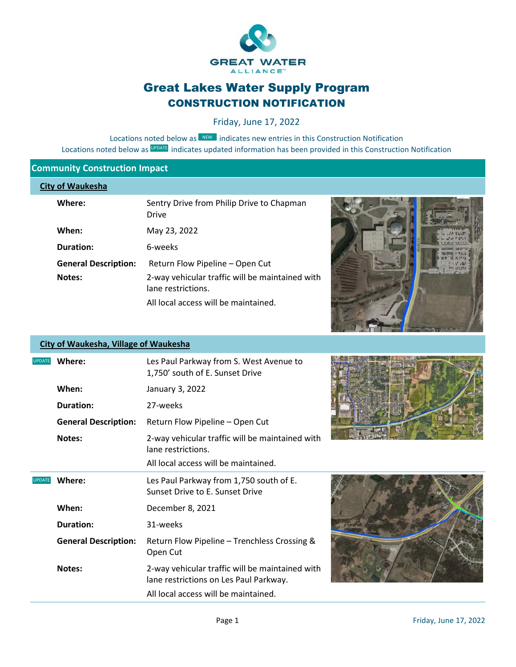

# Great Lakes Water Supply Program CONSTRUCTION NOTIFICATION

Friday, June 17, 2022

Locations noted below as **NEW** indicates new entries in this Construction Notification Locations noted below as UPDATE indicates updated information has been provided in this Construction Notification

### **Community Construction Impact**

#### **City of Waukesha**

| Where:                      | Sentry Drive from Philip Drive to Chapman<br><b>Drive</b>             |
|-----------------------------|-----------------------------------------------------------------------|
| When:                       | May 23, 2022                                                          |
| <b>Duration:</b>            | 6-weeks                                                               |
| <b>General Description:</b> | Return Flow Pipeline – Open Cut                                       |
| <b>Notes:</b>               | 2-way vehicular traffic will be maintained with<br>lane restrictions. |
|                             | All local access will be maintained.                                  |



### **City of Waukesha, Village of Waukesha**



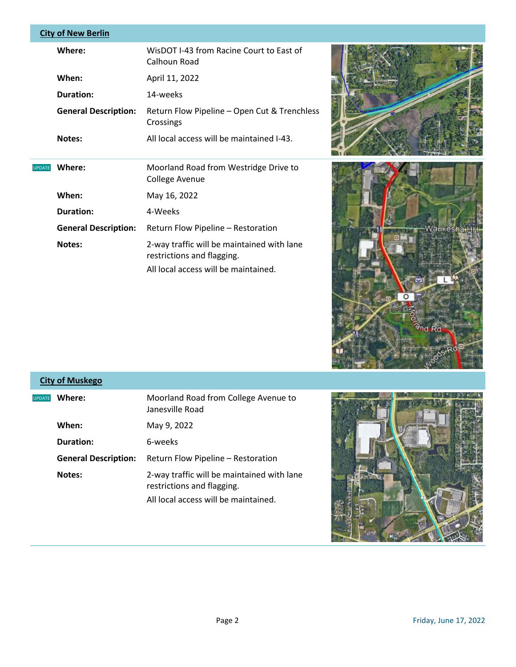### **City of New Berlin**

| Where:                      | WisDOT I-43 from Racine Court to East of<br>Calhoun Road                                                         |
|-----------------------------|------------------------------------------------------------------------------------------------------------------|
| When:                       | April 11, 2022                                                                                                   |
| Duration:                   | 14-weeks                                                                                                         |
| <b>General Description:</b> | Return Flow Pipeline - Open Cut & Trenchless<br>Crossings                                                        |
| Notes:                      | All local access will be maintained I-43.                                                                        |
| Where:                      | Moorland Road from Westridge Drive to<br>College Avenue                                                          |
| When:                       | May 16, 2022                                                                                                     |
| Duration:                   | 4-Weeks                                                                                                          |
| <b>General Description:</b> | Return Flow Pipeline - Restoration                                                                               |
| Notes:                      | 2-way traffic will be maintained with lane<br>restrictions and flagging.<br>All local access will be maintained. |
|                             |                                                                                                                  |





## **City of Muskego**

| <b>UPDATE</b> | Where:                      | Moorland Road from College Avenue to<br>Janesville Road                  |
|---------------|-----------------------------|--------------------------------------------------------------------------|
|               | When:                       | May 9, 2022                                                              |
|               | Duration:                   | 6-weeks                                                                  |
|               | <b>General Description:</b> | Return Flow Pipeline – Restoration                                       |
|               | Notes:                      | 2-way traffic will be maintained with lane<br>restrictions and flagging. |
|               |                             | All local access will be maintained.                                     |

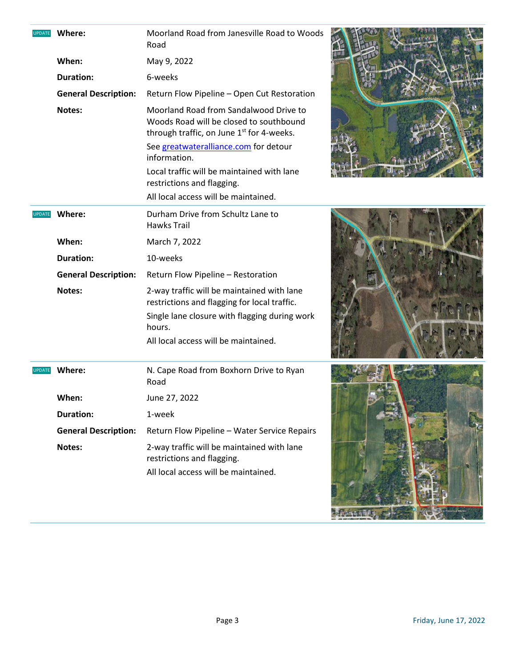| <b>UPDATE</b> | Where:                      | Moorland Road from Janesville Road to Woods<br>Road                                                                            |  |
|---------------|-----------------------------|--------------------------------------------------------------------------------------------------------------------------------|--|
|               | When:                       | May 9, 2022                                                                                                                    |  |
|               | <b>Duration:</b>            | 6-weeks                                                                                                                        |  |
|               | <b>General Description:</b> | Return Flow Pipeline - Open Cut Restoration                                                                                    |  |
|               | Notes:                      | Moorland Road from Sandalwood Drive to<br>Woods Road will be closed to southbound<br>through traffic, on June 1st for 4-weeks. |  |
|               |                             | See greatwateralliance.com for detour<br>information.                                                                          |  |
|               |                             | Local traffic will be maintained with lane<br>restrictions and flagging.                                                       |  |
|               |                             | All local access will be maintained.                                                                                           |  |
| <b>UPDATE</b> | Where:                      | Durham Drive from Schultz Lane to<br><b>Hawks Trail</b>                                                                        |  |
|               | When:                       | March 7, 2022                                                                                                                  |  |
|               | <b>Duration:</b>            | 10-weeks                                                                                                                       |  |
|               | <b>General Description:</b> | Return Flow Pipeline - Restoration                                                                                             |  |
|               | Notes:                      | 2-way traffic will be maintained with lane<br>restrictions and flagging for local traffic.                                     |  |
|               |                             | Single lane closure with flagging during work<br>hours.                                                                        |  |
|               |                             | All local access will be maintained.                                                                                           |  |
| <b>UPDATE</b> | Where:                      | N. Cape Road from Boxhorn Drive to Ryan<br>Road                                                                                |  |
|               | When:                       | June 27, 2022                                                                                                                  |  |
|               | <b>Duration:</b>            | 1-week                                                                                                                         |  |
|               | <b>General Description:</b> | Return Flow Pipeline - Water Service Repairs                                                                                   |  |
|               | Notes:                      | 2-way traffic will be maintained with lane<br>restrictions and flagging.<br>All local access will be maintained.               |  |
|               |                             |                                                                                                                                |  |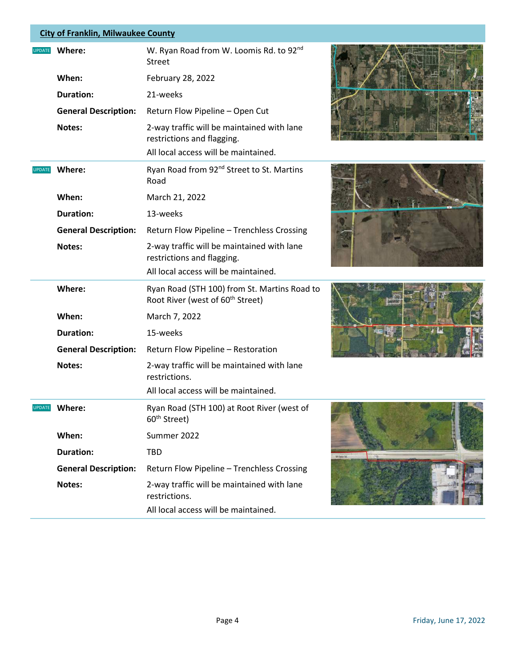### **City of Franklin, Milwaukee County**

| <b>UPDATE</b> | Where:                      | W. Ryan Road from W. Loomis Rd. to 92 <sup>nd</sup><br>Street                                                    |  |
|---------------|-----------------------------|------------------------------------------------------------------------------------------------------------------|--|
|               | When:                       | February 28, 2022                                                                                                |  |
|               | <b>Duration:</b>            | 21-weeks                                                                                                         |  |
|               | <b>General Description:</b> | Return Flow Pipeline - Open Cut                                                                                  |  |
|               | Notes:                      | 2-way traffic will be maintained with lane<br>restrictions and flagging.<br>All local access will be maintained. |  |
| <b>UPDATE</b> | Where:                      | Ryan Road from 92 <sup>nd</sup> Street to St. Martins<br>Road                                                    |  |
|               | When:                       | March 21, 2022                                                                                                   |  |
|               | <b>Duration:</b>            | 13-weeks                                                                                                         |  |
|               | <b>General Description:</b> | Return Flow Pipeline - Trenchless Crossing                                                                       |  |
|               | Notes:                      | 2-way traffic will be maintained with lane<br>restrictions and flagging.                                         |  |
|               |                             | All local access will be maintained.                                                                             |  |
|               | Where:                      | Ryan Road (STH 100) from St. Martins Road to<br>Root River (west of 60 <sup>th</sup> Street)                     |  |
|               | When:                       | March 7, 2022                                                                                                    |  |
|               | <b>Duration:</b>            | 15-weeks                                                                                                         |  |
|               | <b>General Description:</b> | Return Flow Pipeline - Restoration                                                                               |  |
|               | Notes:                      | 2-way traffic will be maintained with lane<br>restrictions.                                                      |  |
|               |                             | All local access will be maintained.                                                                             |  |
| <b>UPDATE</b> | Where:                      | Ryan Road (STH 100) at Root River (west of<br>60 <sup>th</sup> Street)                                           |  |
|               | When:                       | Summer 2022                                                                                                      |  |
|               | <b>Duration:</b>            | <b>TBD</b>                                                                                                       |  |
|               | <b>General Description:</b> | Return Flow Pipeline - Trenchless Crossing                                                                       |  |
|               | Notes:                      | 2-way traffic will be maintained with lane<br>restrictions.                                                      |  |
|               |                             | All local access will be maintained.                                                                             |  |







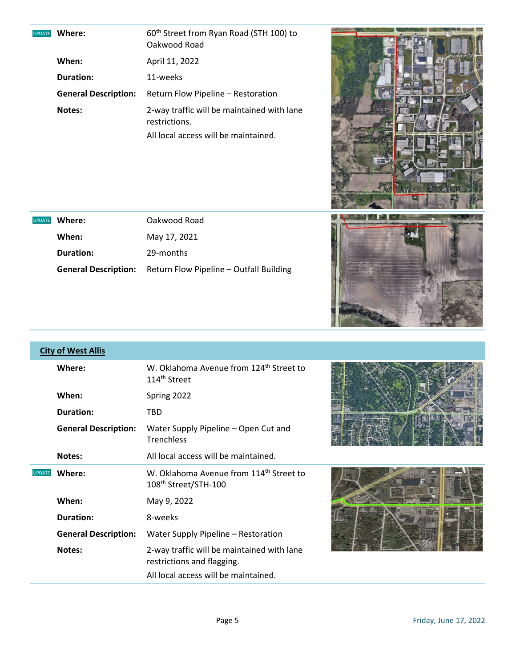UPDATE D

UPDATE D

| Where:                      | 60 <sup>th</sup> Street from Ryan Road (STH 100) to<br>Oakwood Road |
|-----------------------------|---------------------------------------------------------------------|
| When:                       | April 11, 2022                                                      |
| <b>Duration:</b>            | 11-weeks                                                            |
| <b>General Description:</b> | Return Flow Pipeline – Restoration                                  |
| Notes:                      | 2-way traffic will be maintained with lane<br>restrictions.         |
|                             | All local access will be maintained.                                |

**Where:** Oakwood Road

**General Description:** Return Flow Pipeline – Outfall Building

**When:** May 17, 2021 **Duration:** 29-months





|               | <b>City of West Allis</b>   |                                                                                         |  |
|---------------|-----------------------------|-----------------------------------------------------------------------------------------|--|
|               | Where:                      | W. Oklahoma Avenue from 124 <sup>th</sup> Street to<br>114 <sup>th</sup> Street         |  |
|               | When:                       | Spring 2022                                                                             |  |
|               | <b>Duration:</b>            | TBD.                                                                                    |  |
|               | <b>General Description:</b> | Water Supply Pipeline - Open Cut and<br><b>Trenchless</b>                               |  |
|               | Notes:                      | All local access will be maintained.                                                    |  |
| <b>UPDATE</b> | Where:                      | W. Oklahoma Avenue from 114 <sup>th</sup> Street to<br>108 <sup>th</sup> Street/STH-100 |  |
|               | When:                       | May 9, 2022                                                                             |  |
|               | <b>Duration:</b>            | 8-weeks                                                                                 |  |
|               | <b>General Description:</b> | Water Supply Pipeline - Restoration                                                     |  |
|               | Notes:                      | 2-way traffic will be maintained with lane<br>restrictions and flagging.                |  |
|               |                             | All local access will be maintained.                                                    |  |